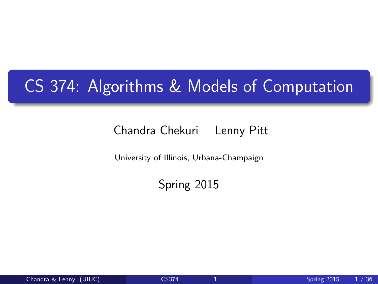### CS 374: Algorithms & Models of Computation

#### Chandra Chekuri Lenny Pitt

University of Illinois, Urbana-Champaign

<span id="page-0-0"></span>Spring 2015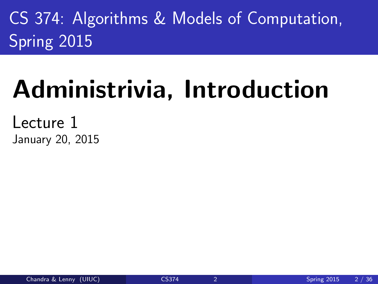CS 374: Algorithms & Models of Computation, Spring 2015

# Administrivia, Introduction

Lecture 1 January 20, 2015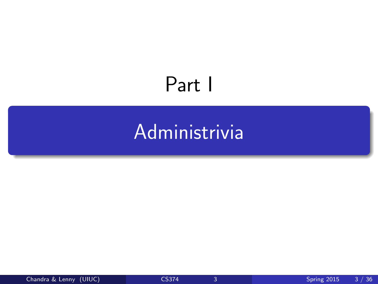## Part I

## <span id="page-2-0"></span>[Administrivia](#page-2-0)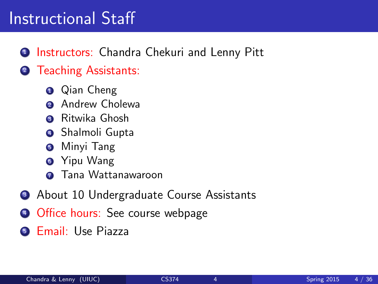#### Instructional Staff

#### **1** Instructors: Chandra Chekuri and Lenny Pitt

#### **2** Teaching Assistants:

- **Q** Qian Cheng
- 2 Andrew Cholewa
- <sup>3</sup> Ritwika Ghosh
- **4** Shalmoli Gupta
- **5** Minyi Tang
- **6** Yipu Wang
- **2** Tana Wattanawaroon
- **3** About 10 Undergraduate Course Assistants
- <sup>4</sup> Office hours: See course webpage
- **6 Email: Use Piazza**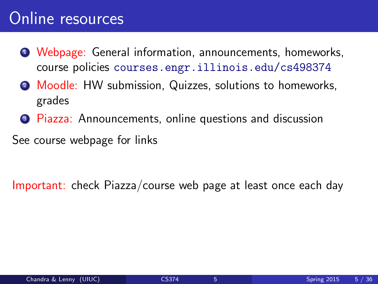#### Online resources

- <sup>1</sup> Webpage: General information, announcements, homeworks, course policies <courses.engr.illinois.edu/cs498374>
- 2 Moodle: HW submission, Quizzes, solutions to homeworks, grades
- <sup>3</sup> Piazza: Announcements, online questions and discussion

See course webpage for links

Important: check Piazza/course web page at least once each day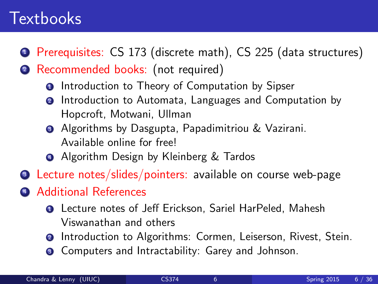#### **Textbooks**

- <sup>1</sup> Prerequisites: CS 173 (discrete math), CS 225 (data structures)
- <sup>2</sup> Recommended books: (not required)
	- **O** Introduction to Theory of Computation by Sipser
	- **2** Introduction to Automata, Languages and Computation by Hopcroft, Motwani, Ullman
	- **3** Algorithms by Dasgupta, Papadimitriou & Vazirani. Available online for free!
	- **4** Algorithm Design by Kleinberg & Tardos
- <sup>3</sup> Lecture notes/slides/pointers: available on course web-page
- <sup>4</sup> Additional References
	- **1** Lecture notes of Jeff Erickson, Sariel HarPeled, Mahesh Viswanathan and others
	- **2** Introduction to Algorithms: Cormen, Leiserson, Rivest. Stein.
	- <sup>3</sup> Computers and Intractability: Garey and Johnson.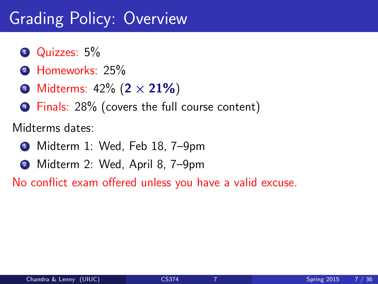### Grading Policy: Overview

- **1** Quizzes: 5%
- 2 Homeworks: 25%
- Midterms:  $42\% (2 \times 21\%)$
- <sup>4</sup> Finals: 28% (covers the full course content)

Midterms dates:

- <sup>1</sup> Midterm 1: Wed, Feb 18, 7–9pm
- <sup>2</sup> Midterm 2: Wed, April 8, 7–9pm

No conflict exam offered unless you have a valid excuse.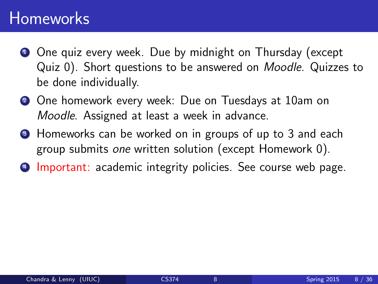#### Homeworks

- **1** One quiz every week. Due by midnight on Thursday (except Quiz 0). Short questions to be answered on Moodle. Quizzes to be done individually.
- <sup>2</sup> One homework every week: Due on Tuesdays at 10am on Moodle. Assigned at least a week in advance.
- **3** Homeworks can be worked on in groups of up to 3 and each group submits one written solution (except Homework 0).
- **4 Important:** academic integrity policies. See course web page.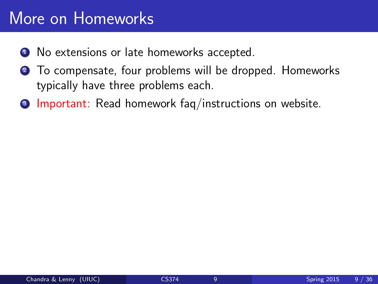#### More on Homeworks

- <sup>1</sup> No extensions or late homeworks accepted.
- <sup>2</sup> To compensate, four problems will be dropped. Homeworks typically have three problems each.
- <sup>3</sup> Important: Read homework fag/instructions on website.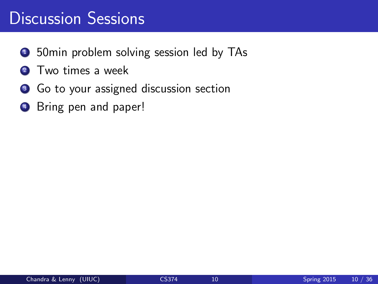#### Discussion Sessions

- **1** 50min problem solving session led by TAs
- 2 Two times a week
- <sup>3</sup> Go to your assigned discussion section
- **4** Bring pen and paper!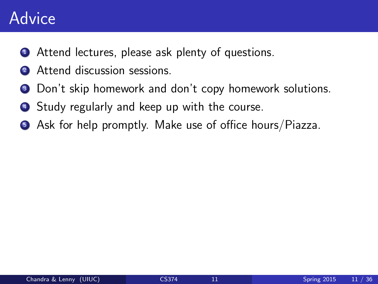#### Advice

- **1** Attend lectures, please ask plenty of questions.
- Attend discussion sessions.
- **3** Don't skip homework and don't copy homework solutions.
- **4** Study regularly and keep up with the course.
- <sup>5</sup> Ask for help promptly. Make use of office hours/Piazza.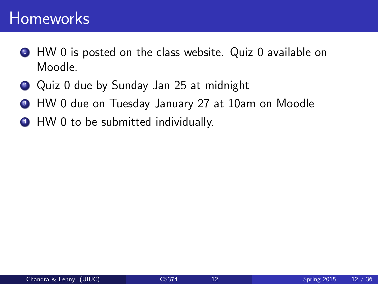#### Homeworks

- **1** HW 0 is posted on the class website. Quiz 0 available on Moodle.
- <sup>2</sup> Quiz 0 due by Sunday Jan 25 at midnight
- <sup>3</sup> HW 0 due on Tuesday January 27 at 10am on Moodle
- <sup>4</sup> HW 0 to be submitted individually.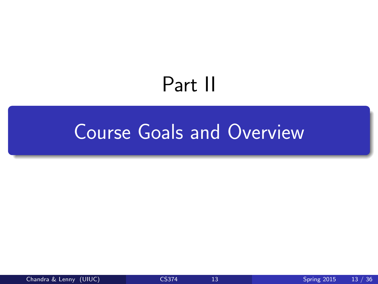## <span id="page-12-0"></span>Part II

### [Course Goals and Overview](#page-12-0)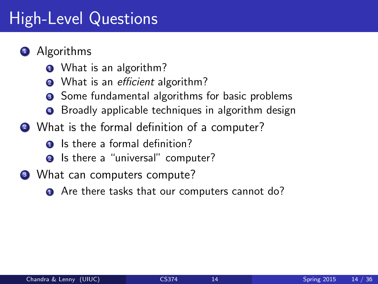### High-Level Questions

- **1** Algorithms
	- **1** What is an algorithm?
	- **2** What is an *efficient* algorithm?
	- **3** Some fundamental algorithms for basic problems
	- **4** Broadly applicable techniques in algorithm design
- 2 What is the formal definition of a computer?
	- **1** Is there a formal definition?
	- **2** Is there a "universal" computer?
- <sup>3</sup> What can computers compute?
	- **1** Are there tasks that our computers cannot do?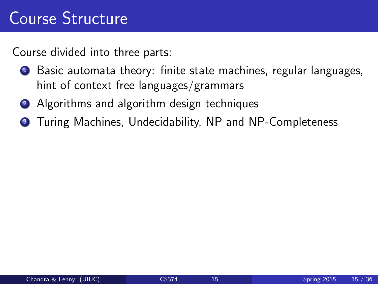#### Course Structure

Course divided into three parts:

- <sup>1</sup> Basic automata theory: finite state machines, regular languages, hint of context free languages/grammars
- 2 Algorithms and algorithm design techniques
- <sup>3</sup> Turing Machines, Undecidability, NP and NP-Completeness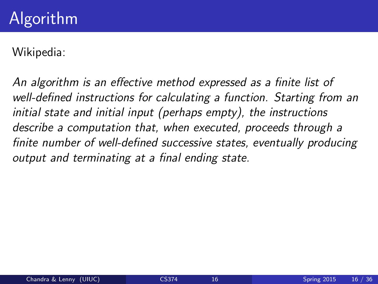Wikipedia:

An algorithm is an effective method expressed as a finite list of well-defined instructions for calculating a function. Starting from an initial state and initial input (perhaps empty), the instructions describe a computation that, when executed, proceeds through a finite number of well-defined successive states, eventually producing output and terminating at a final ending state.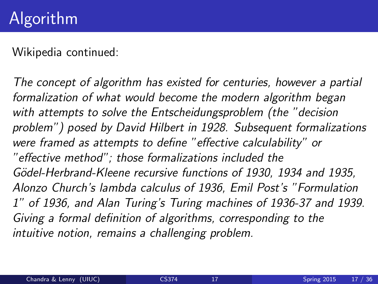Wikipedia continued:

The concept of algorithm has existed for centuries, however a partial formalization of what would become the modern algorithm began with attempts to solve the Entscheidungsproblem (the "decision problem") posed by David Hilbert in 1928. Subsequent formalizations were framed as attempts to define "effective calculability" or "effective method"; those formalizations included the Gödel-Herbrand-Kleene recursive functions of 1930, 1934 and 1935, Alonzo Church's lambda calculus of 1936, Emil Post's "Formulation 1" of 1936, and Alan Turing's Turing machines of 1936-37 and 1939. Giving a formal definition of algorithms, corresponding to the intuitive notion, remains a challenging problem.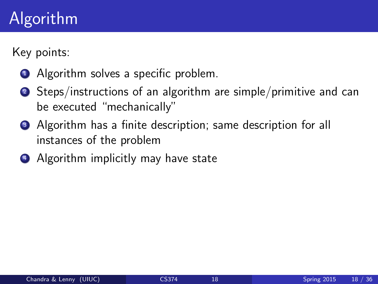### Algorithm

Key points:

- **1** Algorithm solves a specific problem.
- 2 Steps/instructions of an algorithm are simple/primitive and can be executed "mechanically"
- **3** Algorithm has a finite description; same description for all instances of the problem
- 4 Algorithm implicitly may have state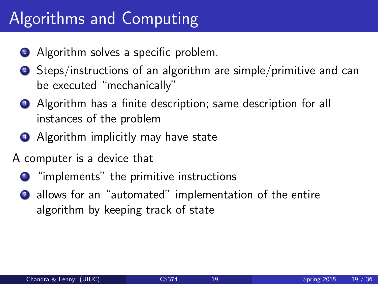### Algorithms and Computing

- **1** Algorithm solves a specific problem.
- <sup>2</sup> Steps/instructions of an algorithm are simple/primitive and can be executed "mechanically"
- <sup>3</sup> Algorithm has a finite description; same description for all instances of the problem
- <sup>4</sup> Algorithm implicitly may have state
- A computer is a device that
	- **1** "implements" the primitive instructions
	- <sup>2</sup> allows for an "automated" implementation of the entire algorithm by keeping track of state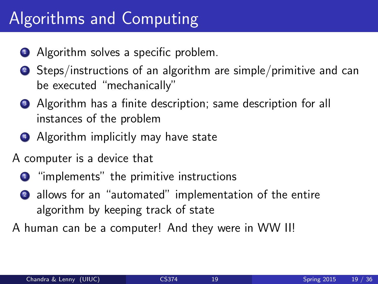### Algorithms and Computing

- **1** Algorithm solves a specific problem.
- <sup>2</sup> Steps/instructions of an algorithm are simple/primitive and can be executed "mechanically"
- <sup>3</sup> Algorithm has a finite description; same description for all instances of the problem
- <sup>4</sup> Algorithm implicitly may have state
- A computer is a device that
	- **1** "implements" the primitive instructions
	- <sup>2</sup> allows for an "automated" implementation of the entire algorithm by keeping track of state
- A human can be a computer! And they were in WW II!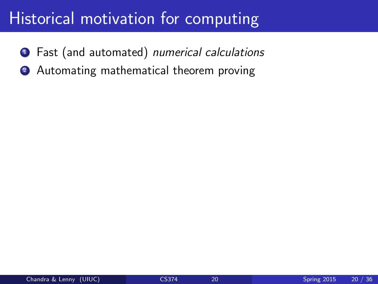#### Historical motivation for computing

- **1** Fast (and automated) numerical calculations
- 2 Automating mathematical theorem proving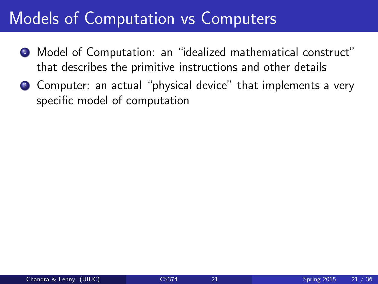#### Models of Computation vs Computers

- <sup>1</sup> Model of Computation: an "idealized mathematical construct" that describes the primitive instructions and other details
- 2 Computer: an actual "physical device" that implements a very specific model of computation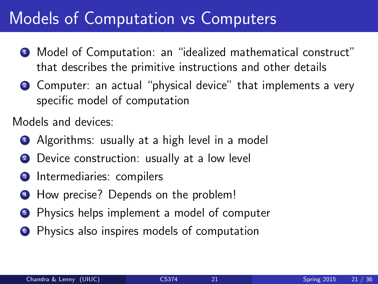#### Models of Computation vs Computers

- <sup>1</sup> Model of Computation: an "idealized mathematical construct" that describes the primitive instructions and other details
- <sup>2</sup> Computer: an actual "physical device" that implements a very specific model of computation

Models and devices:

- **1** Algorithms: usually at a high level in a model
- 2 Device construction: usually at a low level
- **3** Intermediaries: compilers
- <sup>4</sup> How precise? Depends on the problem!
- **Physics helps implement a model of computer**
- **•** Physics also inspires models of computation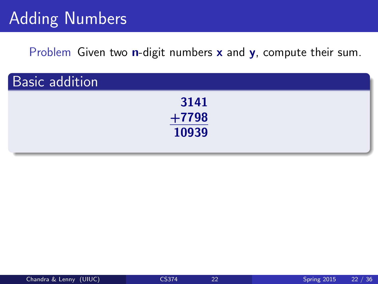### Adding Numbers

Problem Given two **n**-digit numbers **x** and **y**, compute their sum.

| <b>Basic addition</b> |         |  |
|-----------------------|---------|--|
|                       | 3141    |  |
|                       | $+7798$ |  |
|                       | 10939   |  |
|                       |         |  |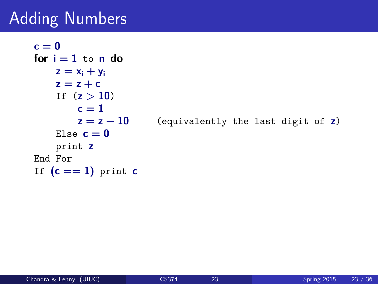### Adding Numbers

```
c = 0for i = 1 to n do
   z = x_i + y_iz = z + cIf (z > 10)c = 1z = z - 10 (equivalently the last digit of z)
    Else c = 0print z
End For
If (c == 1) print c
```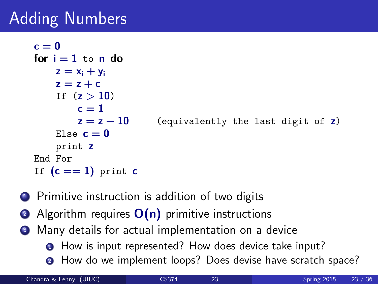### Adding Numbers

```
c = 0for i = 1 to n do
    z = x_i + y_iz = z + cIf (z > 10)c = 1z = z - 10 (equivalently the last digit of z)
    Else c = 0print z
End For
If (c == 1) print c
```
- **1** Primitive instruction is addition of two digits
- **2** Algorithm requires  $O(n)$  primitive instructions
- <sup>3</sup> Many details for actual implementation on a device
	- **1** How is input represented? How does device take input?
	- **2** How do we implement loops? Does devise have scratch space?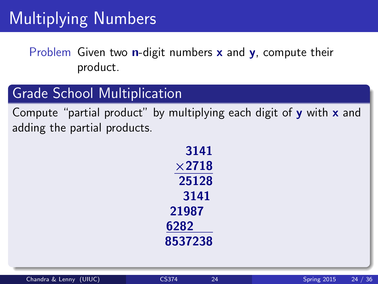Problem Given two **n**-digit numbers  $x$  and  $y$ , compute their product.

#### Grade School Multiplication

Compute "partial product" by multiplying each digit of  $y$  with  $x$  and adding the partial products.

| 3141          |  |  |  |  |
|---------------|--|--|--|--|
| $\times$ 2718 |  |  |  |  |
| 25128         |  |  |  |  |
| 3141          |  |  |  |  |
| 21987         |  |  |  |  |
| 6282          |  |  |  |  |
| 8537238       |  |  |  |  |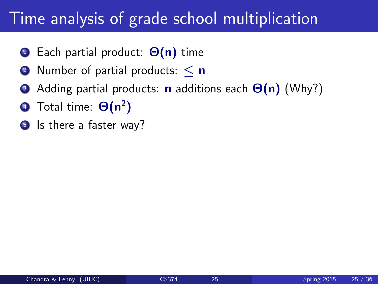#### Time analysis of grade school multiplication

- $\bullet$  Each partial product:  $\Theta(n)$  time
- 2 Number of partial products:  $\leq n$
- Adding partial products: **n** additions each  $\Theta(n)$  (Why?)
- $\overline{4}$  Total time:  $\Theta(n^2)$
- **5** Is there a faster way?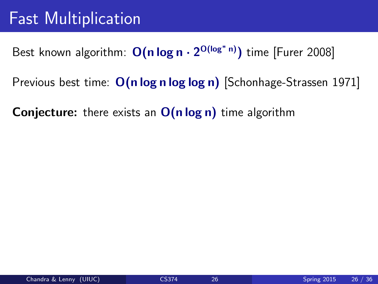Best known algorithm:  $O(n \log n \cdot 2^{O(\log^* n)})$  time [Furer 2008]

Previous best time:  $O(n \log n \log \log n)$  [Schonhage-Strassen 1971]

**Conjecture:** there exists an  $O(n \log n)$  time algorithm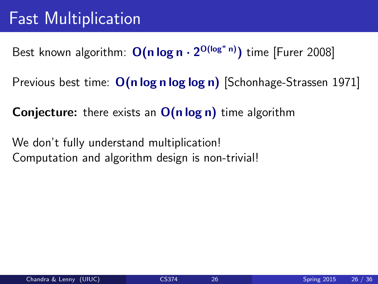Best known algorithm:  $O(n \log n \cdot 2^{O(\log^* n)})$  time [Furer 2008]

Previous best time:  $O(n \log n \log \log n)$  Schonhage-Strassen 1971]

**Conjecture:** there exists an  $O(n \log n)$  time algorithm

We don't fully understand multiplication! Computation and algorithm design is non-trivial!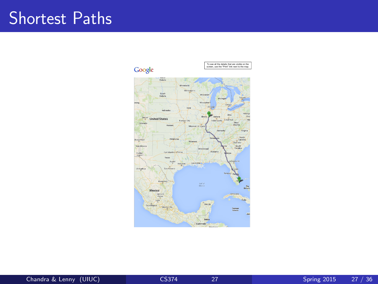#### Shortest Paths

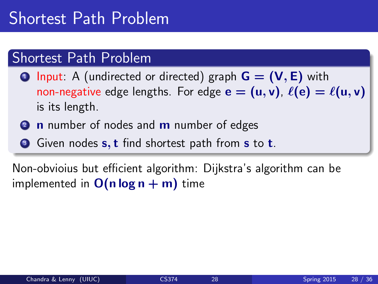#### Shortest Path Problem

- **1** Input: A (undirected or directed) graph  $G = (V, E)$  with non-negative edge lengths. For edge  $e = (u, v)$ ,  $\ell(e) = \ell(u, v)$ is its length.
- **2 n** number of nodes and **m** number of edges
- **3** Given nodes **s**, **t** find shortest path from **s** to **t**.

Non-obvioius but efficient algorithm: Dijkstra's algorithm can be implemented in  $O(n \log n + m)$  time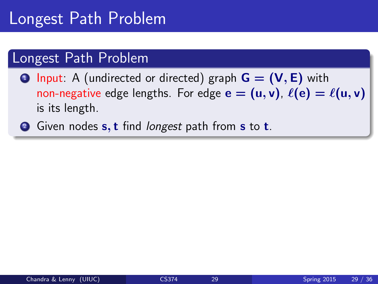#### Longest Path Problem

- **1** Input: A (undirected or directed) graph  $G = (V, E)$  with non-negative edge lengths. For edge  $e = (u, v)$ ,  $\ell(e) = \ell(u, v)$ is its length.
- **2** Given nodes **s**, **t** find *longest* path from **s** to **t**.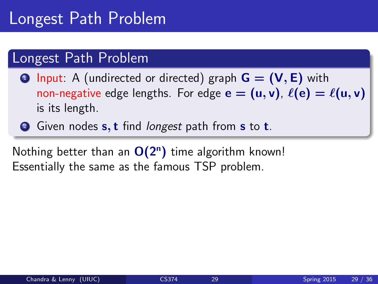#### Longest Path Problem

- **1** Input: A (undirected or directed) graph  $G = (V, E)$  with non-negative edge lengths. For edge  $e = (u, v)$ ,  $\ell(e) = \ell(u, v)$ is its length.
- **2** Given nodes **s**, **t** find *longest* path from **s** to **t**.

Nothing better than an  $O(2^n)$  time algorithm known! Essentially the same as the famous TSP problem.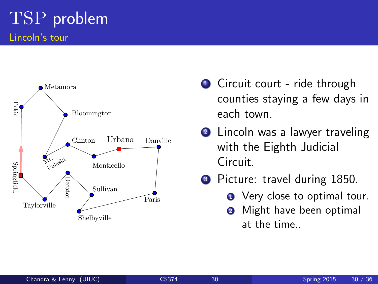

- **1** Circuit court ride through counties staying a few days in each town.
- 2 Lincoln was a lawyer traveling with the Eighth Judicial Circuit.
- **3** Picture: travel during 1850.
	- **1** Very close to optimal tour.
	- **2** Might have been optimal at the time..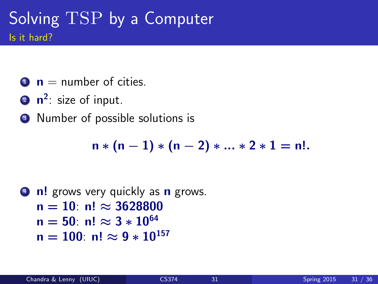#### Solving TSP by a Computer Is it hard?

- $\bullet$   $\bullet$  = number of cities.
- $2 \text{ n}^2$ : size of input.
- <sup>3</sup> Number of possible solutions is

 $n * (n-1) * (n-2) * ... * 2 * 1 = n!$ .

```
4 n! grows very quickly as n grows.
   n = 10: n! \approx 3628800n = 50: n! \approx 3 * 10^{64}n = 100: n! \approx 9 * 10^{157}
```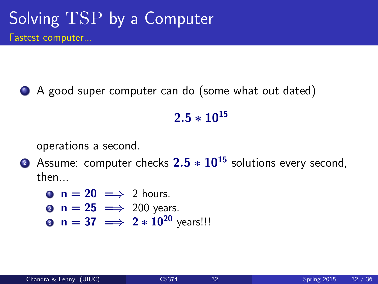<sup>1</sup> A good super computer can do (some what out dated)

#### $2.5 * 10^{15}$

operations a second.

**2** Assume: computer checks  $2.5 * 10^{15}$  solutions every second, then...

 $\bullet$  n = 20  $\implies$  2 hours.

- **2 n = 25**  $\implies$  **200 years.**
- **9**  $n = 37 \implies 2 * 10^{20}$  vears!!!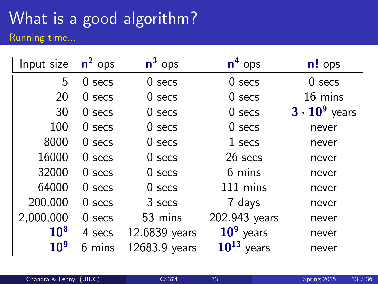## What is a good algorithm?

Running time...

| Input size      | $\overline{n^2}$ ops | $\overline{n^3}$ ops | $\overline{n}^4$ ops | $n!$ ops             |
|-----------------|----------------------|----------------------|----------------------|----------------------|
| 5               | $0$ secs             | $0$ secs             | $0$ secs             | $0$ secs             |
| 20              | $0$ secs             | $0$ secs             | $0$ secs             | 16 mins              |
| 30              | $0$ secs             | $0$ secs             | $0$ secs             | $3 \cdot 10^9$ years |
| 100             | $0$ secs             | $0$ secs             | $0$ secs             | never                |
| 8000            | $0$ secs             | $0$ secs             | 1 secs               | never                |
| 16000           | $0$ secs             | $0$ secs             | 26 secs              | never                |
| 32000           | $0$ secs             | $0$ secs             | 6 mins               | never                |
| 64000           | $0$ secs             | $0$ secs             | 111 mins             | never                |
| 200,000         | $0$ secs             | 3 secs               | 7 days               | never                |
| 2,000,000       | $0$ secs             | 53 mins              | 202.943 years        | never                |
| 10 <sup>8</sup> | 4 secs               | 12.6839 years        | $109$ years          | never                |
| 10 <sup>9</sup> | 6 mins               | 12683.9 years        | $10^{13}$<br>years   | never                |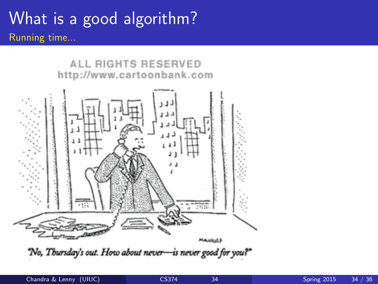#### What is a good algorithm? Running time...

ALL RIGHTS RESERVED http://www.cartoonbank.com



"No, Thursday's out. How about never-is never good for you?"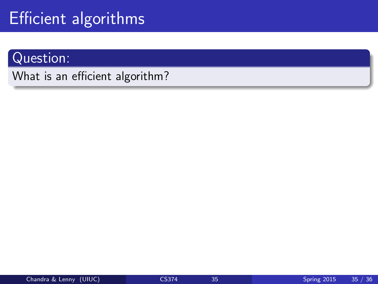#### Question:

What is an efficient algorithm?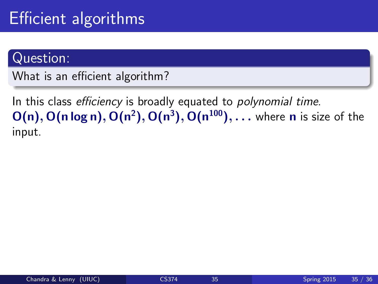#### Question:

What is an efficient algorithm?

In this class efficiency is broadly equated to *polynomial time*.  $\mathsf{O}(\mathsf{n}), \mathsf{O}(\mathsf{n} \log \mathsf{n}), \mathsf{O}(\mathsf{n}^2), \mathsf{O}(\mathsf{n}^3), \mathsf{O}(\mathsf{n}^{100}), \ldots$  where  $\mathsf{n}$  is size of the input.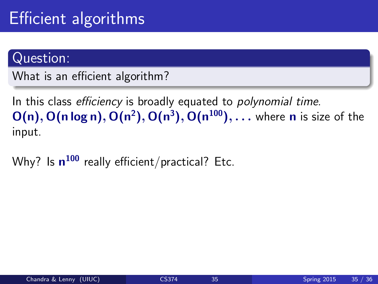#### Question:

What is an efficient algorithm?

In this class efficiency is broadly equated to polynomial time.  $\mathsf{O}(\mathsf{n}), \mathsf{O}(\mathsf{n} \log \mathsf{n}), \mathsf{O}(\mathsf{n}^2), \mathsf{O}(\mathsf{n}^3), \mathsf{O}(\mathsf{n}^{100}), \ldots$  where  $\mathsf{n}$  is size of the input.

Why? Is  $\mathsf{n}^{100}$  really efficient/practical? Etc.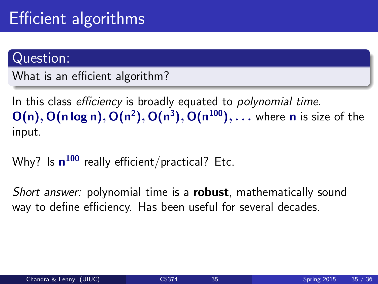#### Question:

What is an efficient algorithm?

In this class *efficiency* is broadly equated to *polynomial time*.  $\mathsf{O}(\mathsf{n}), \mathsf{O}(\mathsf{n} \log \mathsf{n}), \mathsf{O}(\mathsf{n}^2), \mathsf{O}(\mathsf{n}^3), \mathsf{O}(\mathsf{n}^{100}), \ldots$  where  $\mathsf{n}$  is size of the input.

Why? Is  $\mathsf{n}^{100}$  really efficient/practical? Etc.

Short answer: polynomial time is a robust, mathematically sound way to define efficiency. Has been useful for several decades.